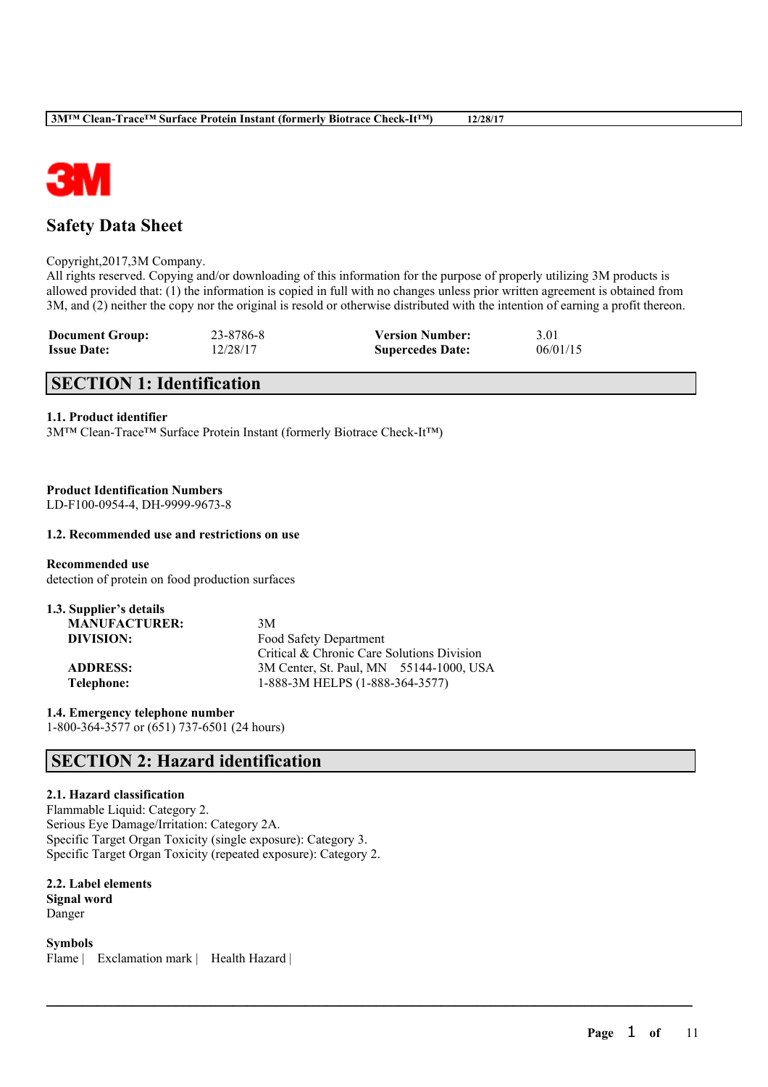

# **Safety Data Sheet**

#### Copyright,2017,3M Company.

All rights reserved. Copying and/or downloading of this information for the purpose of properly utilizing 3M products is allowed provided that: (1) the information is copied in full with no changes unless prior written agreement is obtained from 3M, and (2) neither the copy nor the original is resold or otherwise distributed with the intention of earning a profit thereon.

 $\mathcal{L}_\mathcal{L} = \mathcal{L}_\mathcal{L} = \mathcal{L}_\mathcal{L} = \mathcal{L}_\mathcal{L} = \mathcal{L}_\mathcal{L} = \mathcal{L}_\mathcal{L} = \mathcal{L}_\mathcal{L} = \mathcal{L}_\mathcal{L} = \mathcal{L}_\mathcal{L} = \mathcal{L}_\mathcal{L} = \mathcal{L}_\mathcal{L} = \mathcal{L}_\mathcal{L} = \mathcal{L}_\mathcal{L} = \mathcal{L}_\mathcal{L} = \mathcal{L}_\mathcal{L} = \mathcal{L}_\mathcal{L} = \mathcal{L}_\mathcal{L}$ 

| <b>Document Group:</b> | 23-8786-8 | <b>Version Number:</b>  | 3.01     |
|------------------------|-----------|-------------------------|----------|
| <b>Issue Date:</b>     | 12/28/17  | <b>Supercedes Date:</b> | 06/01/15 |

# **SECTION 1: Identification**

# **1.1. Product identifier**

3M™ Clean-Trace™ Surface Protein Instant (formerly Biotrace Check-It™)

**Product Identification Numbers**

LD-F100-0954-4, DH-9999-9673-8

# **1.2. Recommended use and restrictions on use**

**Recommended use** detection of protein on food production surfaces

| 3M                                         |
|--------------------------------------------|
| Food Safety Department                     |
| Critical & Chronic Care Solutions Division |
| 3M Center, St. Paul, MN 55144-1000, USA    |
| 1-888-3M HELPS (1-888-364-3577)            |
|                                            |

**1.4. Emergency telephone number** 1-800-364-3577 or (651) 737-6501 (24 hours)

# **SECTION 2: Hazard identification**

## **2.1. Hazard classification**

Flammable Liquid: Category 2. Serious Eye Damage/Irritation: Category 2A. Specific Target Organ Toxicity (single exposure): Category 3. Specific Target Organ Toxicity (repeated exposure): Category 2.

### **2.2. Label elements Signal word**

Danger

**Symbols** Flame | Exclamation mark | Health Hazard |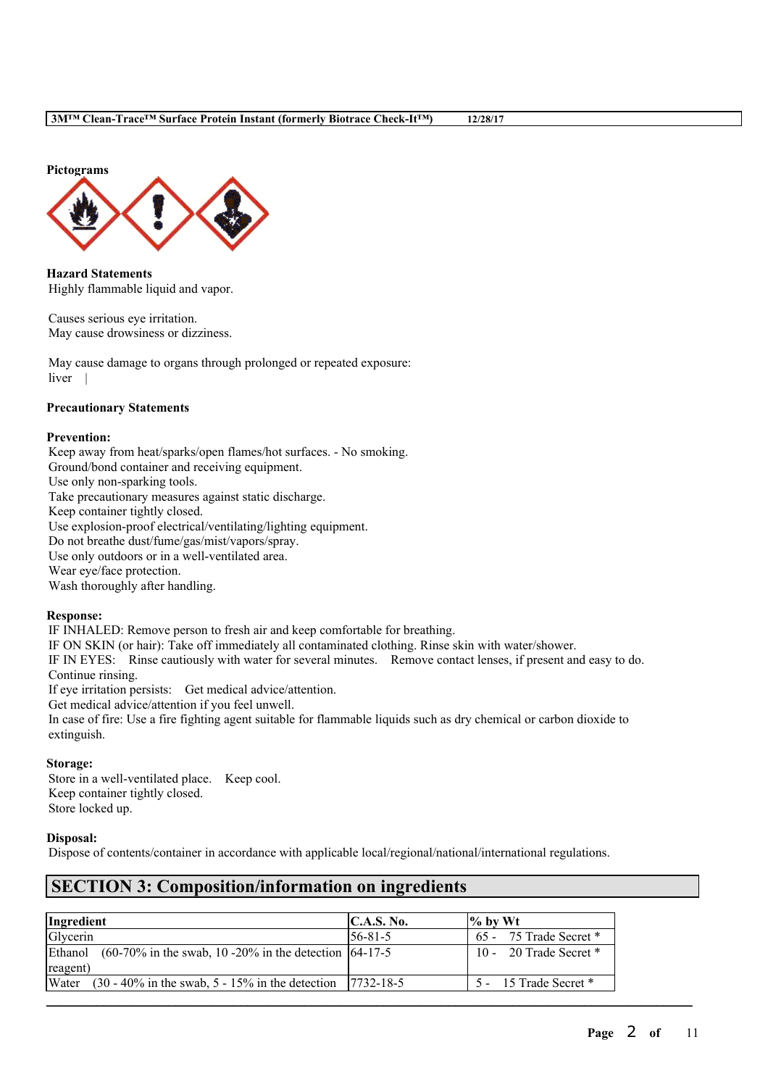**Pictograms**



**Hazard Statements** Highly flammable liquid and vapor.

Causes serious eye irritation. May cause drowsiness or dizziness.

May cause damage to organs through prolonged or repeated exposure: liver |

# **Precautionary Statements**

### **Prevention:**

Keep away from heat/sparks/open flames/hot surfaces. - No smoking. Ground/bond container and receiving equipment. Use only non-sparking tools. Take precautionary measures against static discharge. Keep container tightly closed. Use explosion-proof electrical/ventilating/lighting equipment. Do not breathe dust/fume/gas/mist/vapors/spray. Use only outdoors or in a well-ventilated area. Wear eye/face protection. Wash thoroughly after handling.

#### **Response:**

IF INHALED: Remove person to fresh air and keep comfortable for breathing. IF ON SKIN (or hair): Take off immediately all contaminated clothing. Rinse skin with water/shower. IF IN EYES: Rinse cautiously with water for several minutes. Remove contact lenses, if present and easy to do. Continue rinsing. If eye irritation persists: Get medical advice/attention.

Get medical advice/attention if you feel unwell.

In case of fire: Use a fire fighting agent suitable for flammable liquids such as dry chemical or carbon dioxide to extinguish.

# **Storage:**

Store in a well-ventilated place. Keep cool. Keep container tightly closed. Store locked up.

# **Disposal:**

Dispose of contents/container in accordance with applicable local/regional/national/international regulations.

# **SECTION 3: Composition/information on ingredients**

| Ingredient                                                           | C.A.S. No.       | $\frac{9}{6}$ by Wt        |
|----------------------------------------------------------------------|------------------|----------------------------|
| Glycerin                                                             | $156 - 81 - 5$   | $65 - 75$ Trade Secret $*$ |
| Ethanol $(60-70\%$ in the swab, 10 -20% in the detection $(64-17-5)$ |                  | 10 - 20 Trade Secret $*$   |
| reagent)                                                             |                  |                            |
| $(30 - 40\%$ in the swab, 5 - 15% in the detection<br>Water          | $17732 - 18 - 5$ | 5 - 15 Trade Secret *      |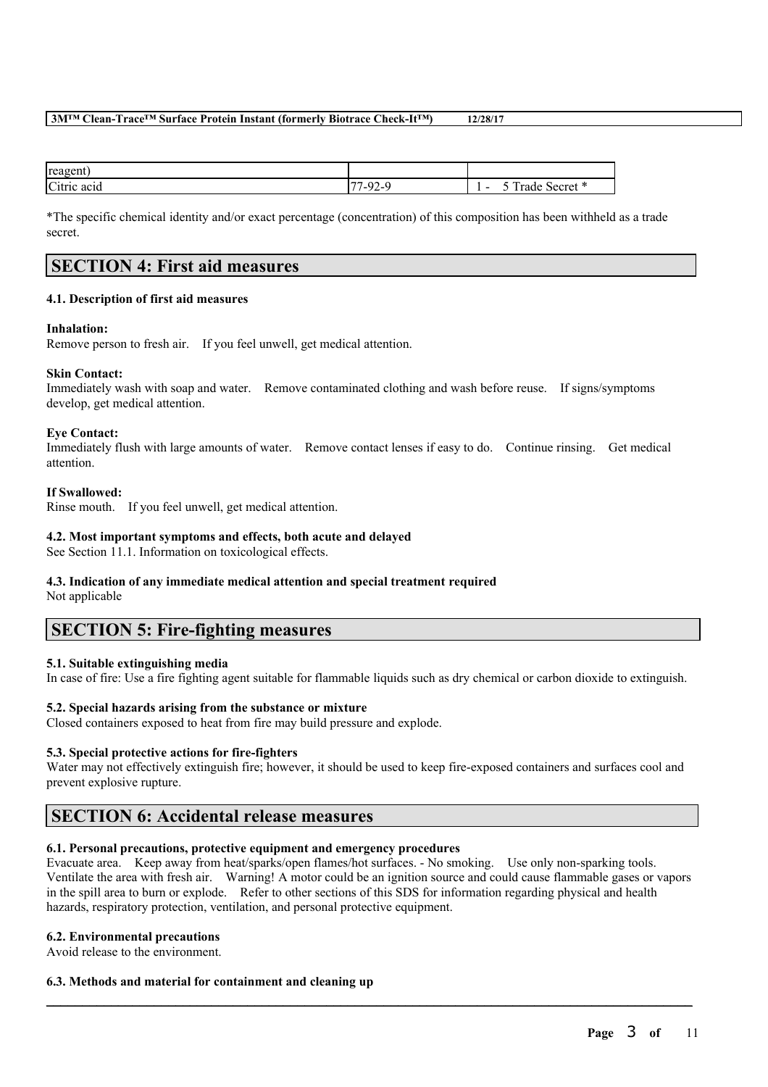| reagent                  |                                                   |                                                             |
|--------------------------|---------------------------------------------------|-------------------------------------------------------------|
| Citric<br>. .<br>ne aeig | $\overline{ }$<br>$\Omega$<br>7-Y<br>$2^{\omega}$ | $\sim$<br>- -<br>rade<br>Secret<br>$\overline{\phantom{a}}$ |

\*The specific chemical identity and/or exact percentage (concentration) of this composition has been withheld as a trade secret.

# **SECTION 4: First aid measures**

# **4.1. Description of first aid measures**

### **Inhalation:**

Remove person to fresh air. If you feel unwell, get medical attention.

### **Skin Contact:**

Immediately wash with soap and water. Remove contaminated clothing and wash before reuse. If signs/symptoms develop, get medical attention.

### **Eye Contact:**

Immediately flush with large amounts of water. Remove contact lenses if easy to do. Continue rinsing. Get medical attention.

### **If Swallowed:**

Rinse mouth. If you feel unwell, get medical attention.

## **4.2. Most important symptoms and effects, both acute and delayed**

See Section 11.1. Information on toxicological effects.

# **4.3. Indication of any immediate medical attention and special treatment required**

Not applicable

# **SECTION 5: Fire-fighting measures**

# **5.1. Suitable extinguishing media**

In case of fire: Use a fire fighting agent suitable for flammable liquids such as dry chemical or carbon dioxide to extinguish.

# **5.2. Special hazards arising from the substance or mixture**

Closed containers exposed to heat from fire may build pressure and explode.

# **5.3. Special protective actions for fire-fighters**

Water may not effectively extinguish fire; however, it should be used to keep fire-exposed containers and surfaces cool and prevent explosive rupture.

# **SECTION 6: Accidental release measures**

# **6.1. Personal precautions, protective equipment and emergency procedures**

Evacuate area. Keep away from heat/sparks/open flames/hot surfaces. - No smoking. Use only non-sparking tools. Ventilate the area with fresh air. Warning! A motor could be an ignition source and could cause flammable gases or vapors in the spill area to burn or explode. Refer to other sections of this SDS for information regarding physical and health hazards, respiratory protection, ventilation, and personal protective equipment.

 $\mathcal{L}_\mathcal{L} = \mathcal{L}_\mathcal{L} = \mathcal{L}_\mathcal{L} = \mathcal{L}_\mathcal{L} = \mathcal{L}_\mathcal{L} = \mathcal{L}_\mathcal{L} = \mathcal{L}_\mathcal{L} = \mathcal{L}_\mathcal{L} = \mathcal{L}_\mathcal{L} = \mathcal{L}_\mathcal{L} = \mathcal{L}_\mathcal{L} = \mathcal{L}_\mathcal{L} = \mathcal{L}_\mathcal{L} = \mathcal{L}_\mathcal{L} = \mathcal{L}_\mathcal{L} = \mathcal{L}_\mathcal{L} = \mathcal{L}_\mathcal{L}$ 

#### **6.2. Environmental precautions**

Avoid release to the environment.

# **6.3. Methods and material for containment and cleaning up**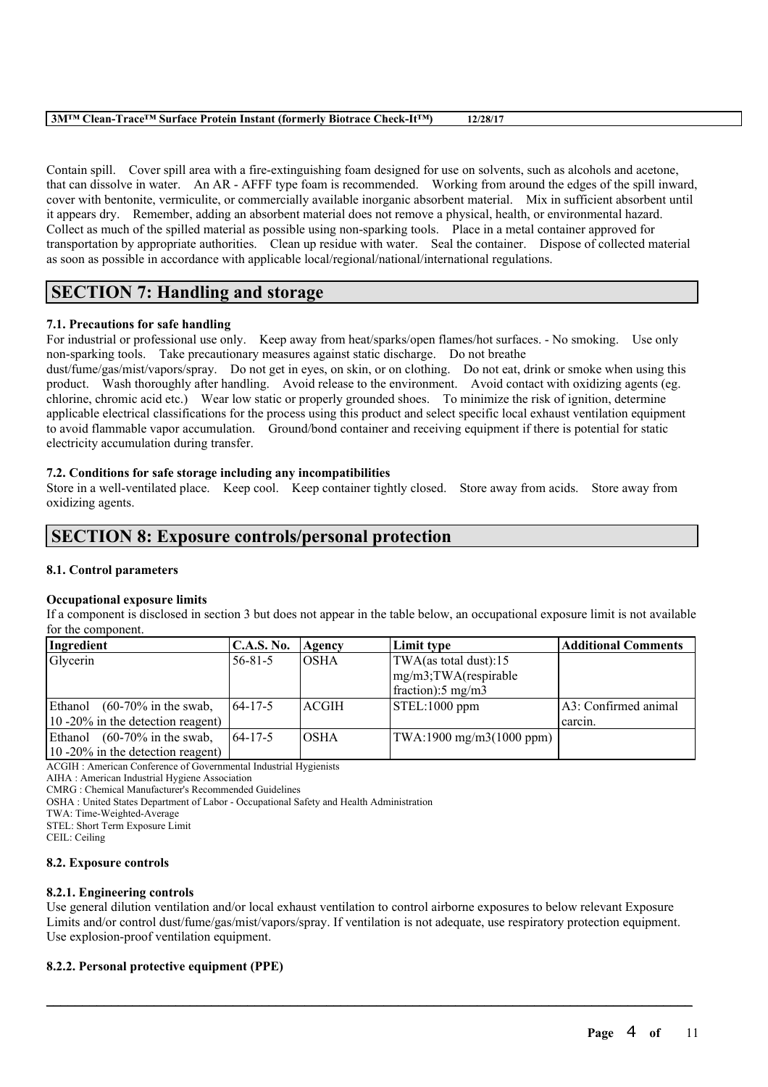Contain spill. Cover spill area with a fire-extinguishing foam designed for use on solvents, such as alcohols and acetone, that can dissolve in water. An AR - AFFF type foam is recommended. Working from around the edges of the spill inward, cover with bentonite, vermiculite, or commercially available inorganic absorbent material. Mix in sufficient absorbent until it appears dry. Remember, adding an absorbent material does not remove a physical, health, or environmental hazard. Collect as much of the spilled material as possible using non-sparking tools. Place in a metal container approved for transportation by appropriate authorities. Clean up residue with water. Seal the container. Dispose of collected material as soon as possible in accordance with applicable local/regional/national/international regulations.

# **SECTION 7: Handling and storage**

# **7.1. Precautions for safe handling**

For industrial or professional use only. Keep away from heat/sparks/open flames/hot surfaces. - No smoking. Use only non-sparking tools. Take precautionary measures against static discharge. Do not breathe

dust/fume/gas/mist/vapors/spray. Do not get in eyes, on skin, or on clothing. Do not eat, drink or smoke when using this product. Wash thoroughly after handling. Avoid release to the environment. Avoid contact with oxidizing agents (eg. chlorine, chromic acid etc.) Wear low static or properly grounded shoes. To minimize the risk of ignition, determine applicable electrical classifications for the process using this product and select specific local exhaust ventilation equipment to avoid flammable vapor accumulation. Ground/bond container and receiving equipment if there is potential for static electricity accumulation during transfer.

# **7.2. Conditions for safe storage including any incompatibilities**

Store in a well-ventilated place. Keep cool. Keep container tightly closed. Store away from acids. Store away from oxidizing agents.

# **SECTION 8: Exposure controls/personal protection**

# **8.1. Control parameters**

# **Occupational exposure limits**

If a component is disclosed in section 3 but does not appear in the table below, an occupational exposure limit is not available for the component.

| Ingredient                         | <b>C.A.S. No.</b> | Agency | Limit type                 | <b>Additional Comments</b> |
|------------------------------------|-------------------|--------|----------------------------|----------------------------|
| Glycerin                           | $56 - 81 - 5$     | IOSHA  | TWA(as total dust):15      |                            |
|                                    |                   |        | mg/m3;TWA(respirable       |                            |
|                                    |                   |        | fraction: $5 \text{ mg/m}$ |                            |
| $(60-70\%$ in the swab,<br>Ethanol | $164 - 17 - 5$    | ACGIH  | STEL:1000 ppm              | A3: Confirmed animal       |
| 10 -20% in the detection reagent)  |                   |        |                            | carcin.                    |
| $(60-70\%$ in the swab,<br>Ethanol | $164 - 17 - 5$    | IOSHA  | TWA:1900 mg/m3(1000 ppm)   |                            |
| 10 -20% in the detection reagent)  |                   |        |                            |                            |

ACGIH : American Conference of Governmental Industrial Hygienists

AIHA : American Industrial Hygiene Association

CMRG : Chemical Manufacturer's Recommended Guidelines

OSHA : United States Department of Labor - Occupational Safety and Health Administration

TWA: Time-Weighted-Average

STEL: Short Term Exposure Limit

CEIL: Ceiling

# **8.2. Exposure controls**

# **8.2.1. Engineering controls**

Use general dilution ventilation and/or local exhaust ventilation to control airborne exposures to below relevant Exposure Limits and/or control dust/fume/gas/mist/vapors/spray. If ventilation is not adequate, use respiratory protection equipment. Use explosion-proof ventilation equipment.

 $\mathcal{L}_\mathcal{L} = \mathcal{L}_\mathcal{L} = \mathcal{L}_\mathcal{L} = \mathcal{L}_\mathcal{L} = \mathcal{L}_\mathcal{L} = \mathcal{L}_\mathcal{L} = \mathcal{L}_\mathcal{L} = \mathcal{L}_\mathcal{L} = \mathcal{L}_\mathcal{L} = \mathcal{L}_\mathcal{L} = \mathcal{L}_\mathcal{L} = \mathcal{L}_\mathcal{L} = \mathcal{L}_\mathcal{L} = \mathcal{L}_\mathcal{L} = \mathcal{L}_\mathcal{L} = \mathcal{L}_\mathcal{L} = \mathcal{L}_\mathcal{L}$ 

# **8.2.2. Personal protective equipment (PPE)**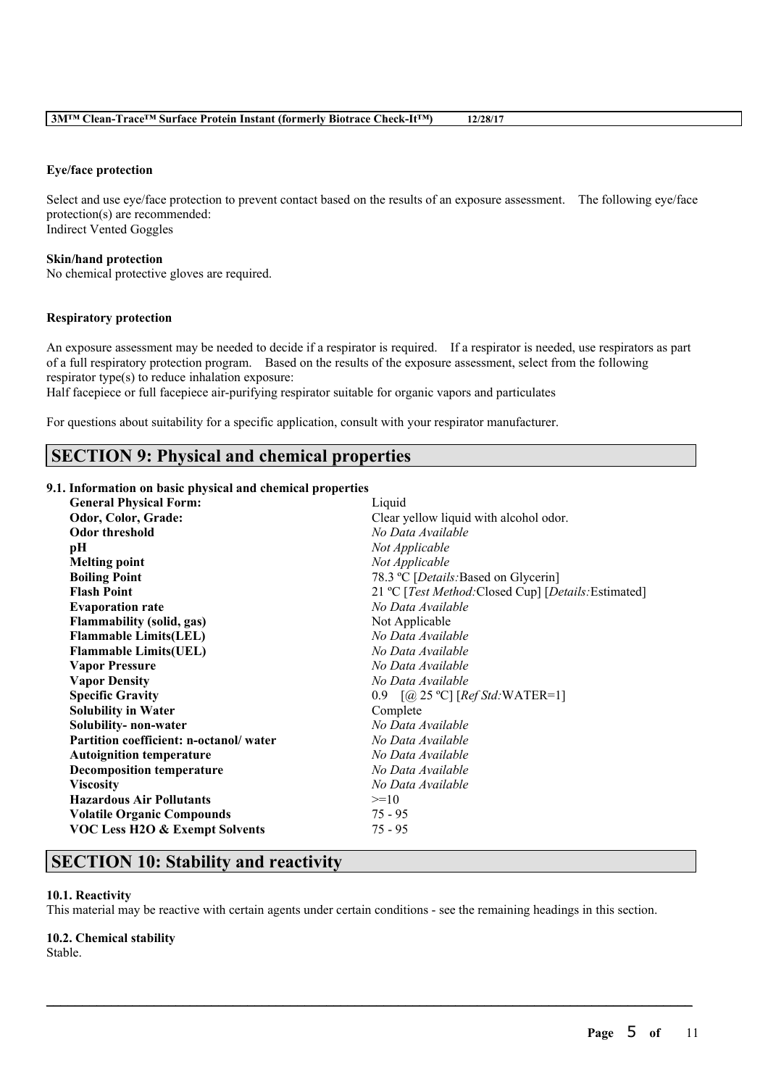## **Eye/face protection**

Select and use eye/face protection to prevent contact based on the results of an exposure assessment. The following eye/face protection(s) are recommended: Indirect Vented Goggles

#### **Skin/hand protection**

No chemical protective gloves are required.

### **Respiratory protection**

An exposure assessment may be needed to decide if a respirator is required. If a respirator is needed, use respirators as part of a full respiratory protection program. Based on the results of the exposure assessment, select from the following respirator type(s) to reduce inhalation exposure:

Half facepiece or full facepiece air-purifying respirator suitable for organic vapors and particulates

For questions about suitability for a specific application, consult with your respirator manufacturer.

# **SECTION 9: Physical and chemical properties**

## **9.1. Information on basic physical and chemical properties**

| <b>General Physical Form:</b>             | Liquid                                               |
|-------------------------------------------|------------------------------------------------------|
| Odor, Color, Grade:                       | Clear yellow liquid with alcohol odor.               |
| <b>Odor threshold</b>                     | No Data Available                                    |
| pН                                        | Not Applicable                                       |
| <b>Melting point</b>                      | Not Applicable                                       |
| <b>Boiling Point</b>                      | 78.3 °C [Details: Based on Glycerin]                 |
| <b>Flash Point</b>                        | 21 °C [Test Method: Closed Cup] [Details: Estimated] |
| <b>Evaporation rate</b>                   | No Data Available                                    |
| <b>Flammability (solid, gas)</b>          | Not Applicable                                       |
| <b>Flammable Limits(LEL)</b>              | No Data Available                                    |
| <b>Flammable Limits(UEL)</b>              | No Data Available                                    |
| <b>Vapor Pressure</b>                     | No Data Available                                    |
| <b>Vapor Density</b>                      | No Data Available                                    |
| <b>Specific Gravity</b>                   | 0.9 $[@;25 °C]$ [Ref Std: WATER=1]                   |
| <b>Solubility in Water</b>                | Complete                                             |
| Solubility- non-water                     | No Data Available                                    |
| Partition coefficient: n-octanol/water    | No Data Available                                    |
| <b>Autoignition temperature</b>           | No Data Available                                    |
| <b>Decomposition temperature</b>          | No Data Available                                    |
| <b>Viscosity</b>                          | No Data Available                                    |
| <b>Hazardous Air Pollutants</b>           | $>=10$                                               |
| <b>Volatile Organic Compounds</b>         | $75 - 95$                                            |
| <b>VOC Less H2O &amp; Exempt Solvents</b> | $75 - 95$                                            |
|                                           |                                                      |

# **SECTION 10: Stability and reactivity**

#### **10.1. Reactivity**

This material may be reactive with certain agents under certain conditions - see the remaining headings in this section.

 $\mathcal{L}_\mathcal{L} = \mathcal{L}_\mathcal{L} = \mathcal{L}_\mathcal{L} = \mathcal{L}_\mathcal{L} = \mathcal{L}_\mathcal{L} = \mathcal{L}_\mathcal{L} = \mathcal{L}_\mathcal{L} = \mathcal{L}_\mathcal{L} = \mathcal{L}_\mathcal{L} = \mathcal{L}_\mathcal{L} = \mathcal{L}_\mathcal{L} = \mathcal{L}_\mathcal{L} = \mathcal{L}_\mathcal{L} = \mathcal{L}_\mathcal{L} = \mathcal{L}_\mathcal{L} = \mathcal{L}_\mathcal{L} = \mathcal{L}_\mathcal{L}$ 

# **10.2. Chemical stability**

Stable.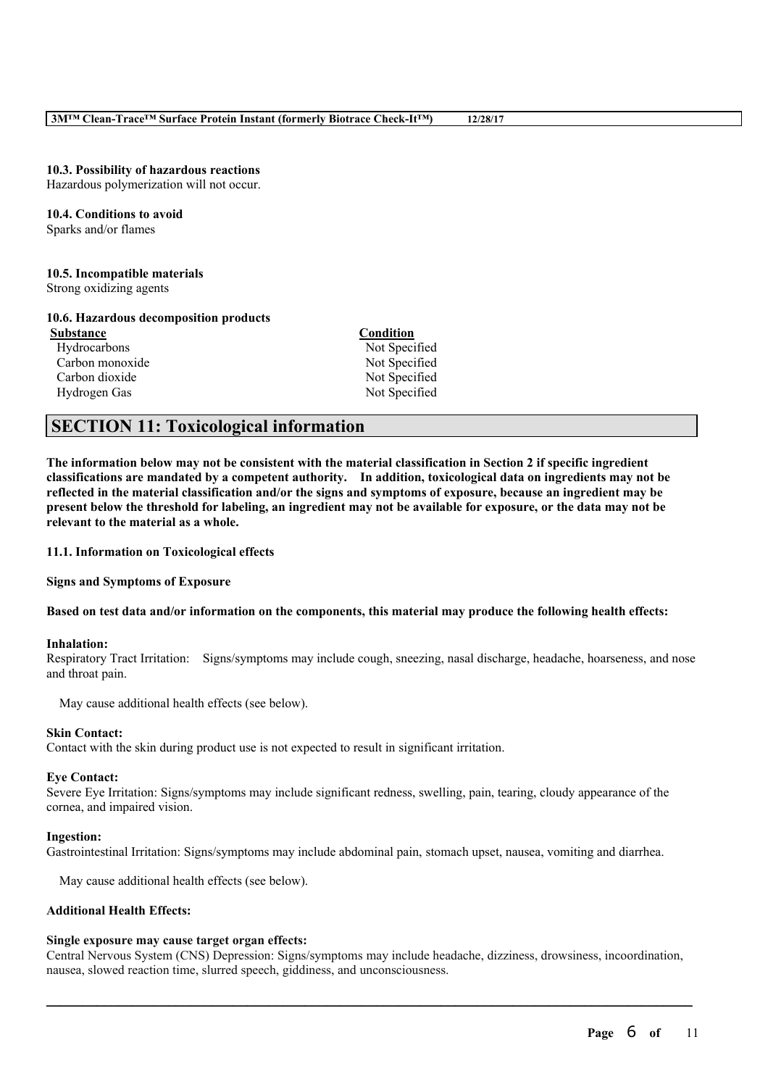#### **10.3. Possibility of hazardous reactions**

Hazardous polymerization will not occur.

# **10.4. Conditions to avoid**

Sparks and/or flames

### **10.5. Incompatible materials**

Strong oxidizing agents

#### **10.6. Hazardous decomposition products**

**Substance Condition** Hydrocarbons Not Specified Carbon monoxide Not Specified Carbon dioxide Not Specified Hydrogen Gas Not Specified

# **SECTION 11: Toxicological information**

The information below may not be consistent with the material classification in Section 2 if specific ingredient **classifications are mandated by a competent authority. In addition, toxicological data on ingredients may not be** reflected in the material classification and/or the signs and symptoms of exposure, because an ingredient may be present below the threshold for labeling, an ingredient may not be available for exposure, or the data may not be **relevant to the material as a whole.**

**11.1. Information on Toxicological effects**

**Signs and Symptoms of Exposure**

#### Based on test data and/or information on the components, this material may produce the following health effects:

#### **Inhalation:**

Respiratory Tract Irritation: Signs/symptoms may include cough, sneezing, nasal discharge, headache, hoarseness, and nose and throat pain.

May cause additional health effects (see below).

### **Skin Contact:**

Contact with the skin during product use is not expected to result in significant irritation.

#### **Eye Contact:**

Severe Eye Irritation: Signs/symptoms may include significant redness, swelling, pain, tearing, cloudy appearance of the cornea, and impaired vision.

#### **Ingestion:**

Gastrointestinal Irritation: Signs/symptoms may include abdominal pain, stomach upset, nausea, vomiting and diarrhea.

May cause additional health effects (see below).

# **Additional Health Effects:**

# **Single exposure may cause target organ effects:**

Central Nervous System (CNS) Depression: Signs/symptoms may include headache, dizziness, drowsiness, incoordination, nausea, slowed reaction time, slurred speech, giddiness, and unconsciousness.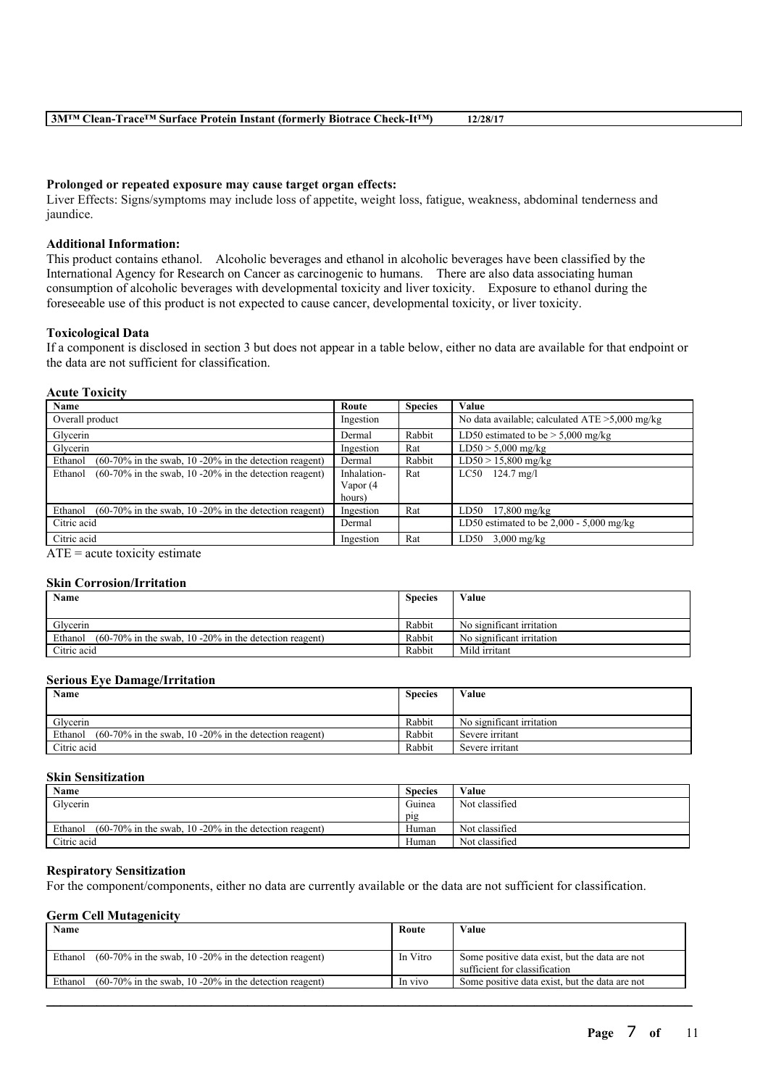#### **Prolonged or repeated exposure may cause target organ effects:**

Liver Effects: Signs/symptoms may include loss of appetite, weight loss, fatigue, weakness, abdominal tenderness and jaundice.

## **Additional Information:**

This product contains ethanol. Alcoholic beverages and ethanol in alcoholic beverages have been classified by the International Agency for Research on Cancer as carcinogenic to humans. There are also data associating human consumption of alcoholic beverages with developmental toxicity and liver toxicity. Exposure to ethanol during the foreseeable use of this product is not expected to cause cancer, developmental toxicity, or liver toxicity.

#### **Toxicological Data**

If a component is disclosed in section 3 but does not appear in a table below, either no data are available for that endpoint or the data are not sufficient for classification.

#### **Acute Toxicity**

| Name                                                                 | Route       | <b>Species</b> | Value                                             |
|----------------------------------------------------------------------|-------------|----------------|---------------------------------------------------|
| Overall product                                                      | Ingestion   |                | No data available; calculated $ATE > 5,000$ mg/kg |
| Glycerin                                                             | Dermal      | Rabbit         | LD50 estimated to be $> 5,000$ mg/kg              |
| Glycerin                                                             | Ingestion   | Rat            | $LD50 > 5,000$ mg/kg                              |
| $(60-70\%$ in the swab, 10 -20% in the detection reagent)<br>Ethanol | Dermal      | Rabbit         | $LD50 > 15,800$ mg/kg                             |
| $(60-70\%$ in the swab, 10 -20% in the detection reagent)<br>Ethanol | Inhalation- | Rat            | $LC50$ 124.7 mg/l                                 |
|                                                                      | Vapor (4    |                |                                                   |
|                                                                      | hours)      |                |                                                   |
| Ethanol<br>$(60-70\%$ in the swab, 10 -20% in the detection reagent) | Ingestion   | Rat            | LD50<br>$17,800$ mg/kg                            |
| Citric acid                                                          | Dermal      |                | LD50 estimated to be $2,000 - 5,000$ mg/kg        |
| Citric acid                                                          | Ingestion   | Rat            | $3,000$ mg/kg<br>LD50                             |

 $ATE = acute$  toxicity estimate

#### **Skin Corrosion/Irritation**

| Name                                                                 | <b>Species</b> | Value                     |
|----------------------------------------------------------------------|----------------|---------------------------|
|                                                                      |                |                           |
| Glycerin                                                             | Rabbit         | No significant irritation |
| $(60-70\%$ in the swab, 10 -20% in the detection reagent)<br>Ethanol | Rabbit         | No significant irritation |
| Citric acid                                                          | Rabbit         | Mild irritant             |

#### **Serious Eye Damage/Irritation**

| Name                                                                 | <b>Species</b> | Value                     |
|----------------------------------------------------------------------|----------------|---------------------------|
|                                                                      |                |                           |
| Glycerin                                                             | Rabbit         | No significant irritation |
| $(60-70\%$ in the swab, 10 -20% in the detection reagent)<br>Ethanol | Rabbit         | Severe irritant           |
| Citric acid                                                          | Rabbit         | Severe irritant           |

# **Skin Sensitization**

| Name                                                                 | <b>Species</b> | Value          |
|----------------------------------------------------------------------|----------------|----------------|
| Glycerin                                                             | Guinea         | Not classified |
|                                                                      | pig            |                |
| Ethanol<br>$(60-70\%$ in the swab, 10 -20% in the detection reagent) | Human          | Not classified |
| Citric acid                                                          | Human          | Not classified |

## **Respiratory Sensitization**

For the component/components, either no data are currently available or the data are not sufficient for classification.

#### **Germ Cell Mutagenicity**

| Name    |                                                           | Route    | Value                                                                           |
|---------|-----------------------------------------------------------|----------|---------------------------------------------------------------------------------|
| Ethanol | $(60-70\%$ in the swab, 10 -20% in the detection reagent) | In Vitro | Some positive data exist, but the data are not<br>sufficient for classification |
| Ethanol | $(60-70\%$ in the swab, 10 -20% in the detection reagent) | In vivo  | Some positive data exist, but the data are not                                  |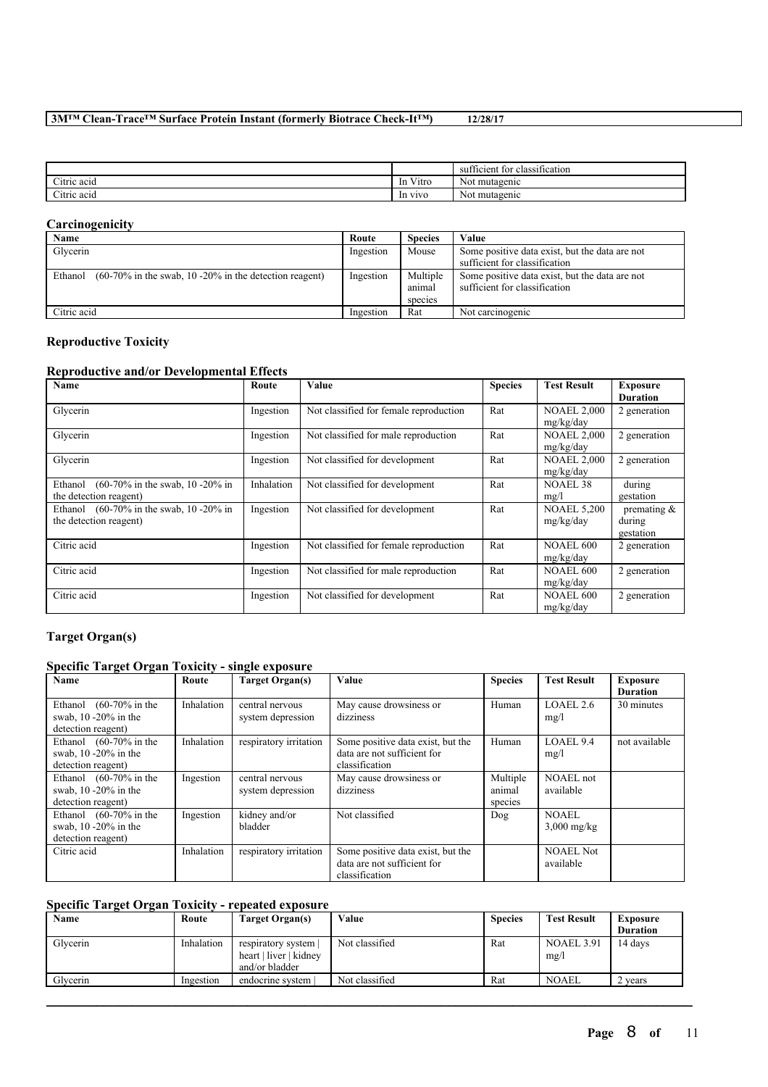|                              |                                          | <b>CONT</b><br>COMPANY OF SHIP<br>t for classification<br>sufficient |
|------------------------------|------------------------------------------|----------------------------------------------------------------------|
| $\sim$ $\sim$<br>Citric acid | <b>WWW.</b><br>V <sub>1</sub> tro<br>-In | Not mutagenic                                                        |
| $\sim$<br>Citric acid        | In vivo                                  | Not mutagenic                                                        |

# **Carcinogenicity**

| Name                                                                 | Route     | <b>Species</b>                | Value                                                                           |
|----------------------------------------------------------------------|-----------|-------------------------------|---------------------------------------------------------------------------------|
| Glycerin                                                             | Ingestion | Mouse                         | Some positive data exist, but the data are not                                  |
|                                                                      |           |                               | sufficient for classification                                                   |
| $(60-70\%$ in the swab, 10 -20% in the detection reagent)<br>Ethanol | Ingestion | Multiple<br>animal<br>species | Some positive data exist, but the data are not<br>sufficient for classification |
| Citric acid                                                          | Ingestion | Rat                           | Not carcinogenic                                                                |

# **Reproductive Toxicity**

# **Reproductive and/or Developmental Effects**

| Name                                                                                    | Route      | Value                                  | <b>Species</b> | <b>Test Result</b>              | <b>Exposure</b><br><b>Duration</b>    |
|-----------------------------------------------------------------------------------------|------------|----------------------------------------|----------------|---------------------------------|---------------------------------------|
| Glycerin                                                                                | Ingestion  | Not classified for female reproduction | Rat            | <b>NOAEL 2,000</b><br>mg/kg/day | 2 generation                          |
| Glycerin                                                                                | Ingestion  | Not classified for male reproduction   | Rat            | <b>NOAEL 2,000</b><br>mg/kg/day | 2 generation                          |
| Glycerin                                                                                | Ingestion  | Not classified for development         | Rat            | <b>NOAEL 2,000</b><br>mg/kg/day | 2 generation                          |
| $(60-70\% \text{ in the swab}, 10-20\% \text{ in}$<br>Ethanol<br>the detection reagent) | Inhalation | Not classified for development         | Rat            | NOAEL 38<br>mg/l                | during<br>gestation                   |
| $(60-70\% \text{ in the swab}, 10-20\% \text{ in}$<br>Ethanol<br>the detection reagent) | Ingestion  | Not classified for development         | Rat            | <b>NOAEL 5,200</b><br>mg/kg/day | premating $\&$<br>during<br>gestation |
| Citric acid                                                                             | Ingestion  | Not classified for female reproduction | Rat            | <b>NOAEL 600</b><br>mg/kg/day   | 2 generation                          |
| Citric acid                                                                             | Ingestion  | Not classified for male reproduction   | Rat            | <b>NOAEL 600</b><br>mg/kg/day   | 2 generation                          |
| Citric acid                                                                             | Ingestion  | Not classified for development         | Rat            | <b>NOAEL 600</b><br>mg/kg/day   | 2 generation                          |

# **Target Organ(s)**

# **Specific Target Organ Toxicity - single exposure**

| Name                                                                                 | Route      | Target Organ(s)                      | <b>Value</b>                                                                       | <b>Species</b>                | <b>Test Result</b>            | <b>Exposure</b><br><b>Duration</b> |
|--------------------------------------------------------------------------------------|------------|--------------------------------------|------------------------------------------------------------------------------------|-------------------------------|-------------------------------|------------------------------------|
| Ethanol $(60-70\% \text{ in the})$<br>swab, $10 - 20\%$ in the<br>detection reagent) | Inhalation | central nervous<br>system depression | May cause drowsiness or<br>dizziness                                               | Human                         | LOAEL2.6<br>mg/l              | 30 minutes                         |
| Ethanol $(60-70\% \text{ in the})$<br>swab, $10 - 20\%$ in the<br>detection reagent) | Inhalation | respiratory irritation               | Some positive data exist, but the<br>data are not sufficient for<br>classification | Human                         | LOAEL 9.4<br>mg/l             | not available                      |
| Ethanol $(60-70\% \text{ in the})$<br>swab, $10 - 20\%$ in the<br>detection reagent) | Ingestion  | central nervous<br>system depression | May cause drowsiness or<br>dizziness                                               | Multiple<br>animal<br>species | <b>NOAEL</b> not<br>available |                                    |
| Ethanol $(60-70\% \text{ in the})$<br>swab, $10 - 20\%$ in the<br>detection reagent) | Ingestion  | kidney and/or<br>bladder             | Not classified                                                                     | Dog                           | <b>NOAEL</b><br>$3,000$ mg/kg |                                    |
| Citric acid                                                                          | Inhalation | respiratory irritation               | Some positive data exist, but the<br>data are not sufficient for<br>classification |                               | <b>NOAEL Not</b><br>available |                                    |

# **Specific Target Organ Toxicity - repeated exposure**

| Name     | Route      | Target Organ(s)        | Value          | <b>Species</b> | <b>Test Result</b> | <b>Exposure</b> |
|----------|------------|------------------------|----------------|----------------|--------------------|-----------------|
|          |            |                        |                |                |                    | <b>Duration</b> |
| Glycerin | Inhalation | respiratory system     | Not classified | Rat            | <b>NOAEL 3.91</b>  | 14 days         |
|          |            | heart   liver   kidney |                |                | mg/l               |                 |
|          |            | and/or bladder         |                |                |                    |                 |
| Glycerin | Ingestion  | endocrine system       | Not classified | Rat            | <b>NOAEL</b>       | 2 vears         |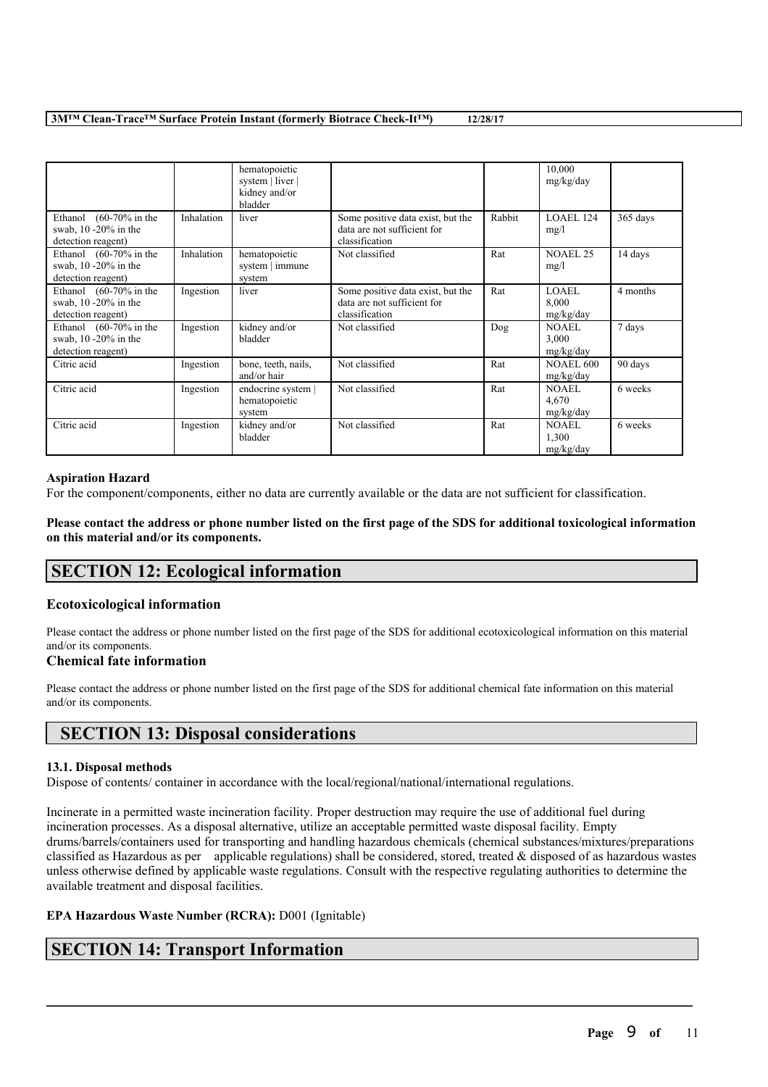|                                                                                    |            | hematopoietic<br>system   liver  <br>kidney and/or<br>bladder |                                                                                    |        | 10,000<br>mg/kg/day                |          |
|------------------------------------------------------------------------------------|------------|---------------------------------------------------------------|------------------------------------------------------------------------------------|--------|------------------------------------|----------|
| $(60-70\% \text{ in the}$<br>Ethanol<br>swab, 10 -20% in the<br>detection reagent) | Inhalation | liver                                                         | Some positive data exist, but the<br>data are not sufficient for<br>classification | Rabbit | LOAEL 124<br>mg/l                  | 365 days |
| Ethanol $(60-70\% \text{ in the})$<br>swab, 10 -20% in the<br>detection reagent)   | Inhalation | hematopoietic<br>system   immune<br>system                    | Not classified                                                                     | Rat    | <b>NOAEL 25</b><br>mg/l            | 14 days  |
| Ethanol $(60-70\% \text{ in the})$<br>swab, 10 -20% in the<br>detection reagent)   | Ingestion  | liver                                                         | Some positive data exist, but the<br>data are not sufficient for<br>classification | Rat    | <b>LOAEL</b><br>8,000<br>mg/kg/day | 4 months |
| Ethanol $(60-70\% \text{ in the})$<br>swab, 10 -20% in the<br>detection reagent)   | Ingestion  | kidney and/or<br>bladder                                      | Not classified                                                                     | Dog    | <b>NOAEL</b><br>3,000<br>mg/kg/day | 7 days   |
| Citric acid                                                                        | Ingestion  | bone, teeth, nails,<br>and/or hair                            | Not classified                                                                     | Rat    | <b>NOAEL 600</b><br>mg/kg/day      | 90 days  |
| Citric acid                                                                        | Ingestion  | endocrine system  <br>hematopoietic<br>system                 | Not classified                                                                     | Rat    | NOAEL<br>4,670<br>mg/kg/day        | 6 weeks  |
| Citric acid                                                                        | Ingestion  | kidney and/or<br>bladder                                      | Not classified                                                                     | Rat    | <b>NOAEL</b><br>1,300<br>mg/kg/day | 6 weeks  |

### **Aspiration Hazard**

For the component/components, either no data are currently available or the data are not sufficient for classification.

Please contact the address or phone number listed on the first page of the SDS for additional toxicological information **on this material and/or its components.**

# **SECTION 12: Ecological information**

# **Ecotoxicological information**

Please contact the address or phone number listed on the first page of the SDS for additional ecotoxicological information on this material and/or its components.

# **Chemical fate information**

Please contact the address or phone number listed on the first page of the SDS for additional chemical fate information on this material and/or its components.

# **SECTION 13: Disposal considerations**

# **13.1. Disposal methods**

Dispose of contents/ container in accordance with the local/regional/national/international regulations.

Incinerate in a permitted waste incineration facility. Proper destruction may require the use of additional fuel during incineration processes. As a disposal alternative, utilize an acceptable permitted waste disposal facility. Empty drums/barrels/containers used for transporting and handling hazardous chemicals (chemical substances/mixtures/preparations classified as Hazardous as per applicable regulations) shall be considered, stored, treated  $\&$  disposed of as hazardous wastes unless otherwise defined by applicable waste regulations. Consult with the respective regulating authorities to determine the available treatment and disposal facilities.

 $\mathcal{L}_\mathcal{L} = \mathcal{L}_\mathcal{L} = \mathcal{L}_\mathcal{L} = \mathcal{L}_\mathcal{L} = \mathcal{L}_\mathcal{L} = \mathcal{L}_\mathcal{L} = \mathcal{L}_\mathcal{L} = \mathcal{L}_\mathcal{L} = \mathcal{L}_\mathcal{L} = \mathcal{L}_\mathcal{L} = \mathcal{L}_\mathcal{L} = \mathcal{L}_\mathcal{L} = \mathcal{L}_\mathcal{L} = \mathcal{L}_\mathcal{L} = \mathcal{L}_\mathcal{L} = \mathcal{L}_\mathcal{L} = \mathcal{L}_\mathcal{L}$ 

# **EPA Hazardous Waste Number (RCRA):** D001 (Ignitable)

# **SECTION 14: Transport Information**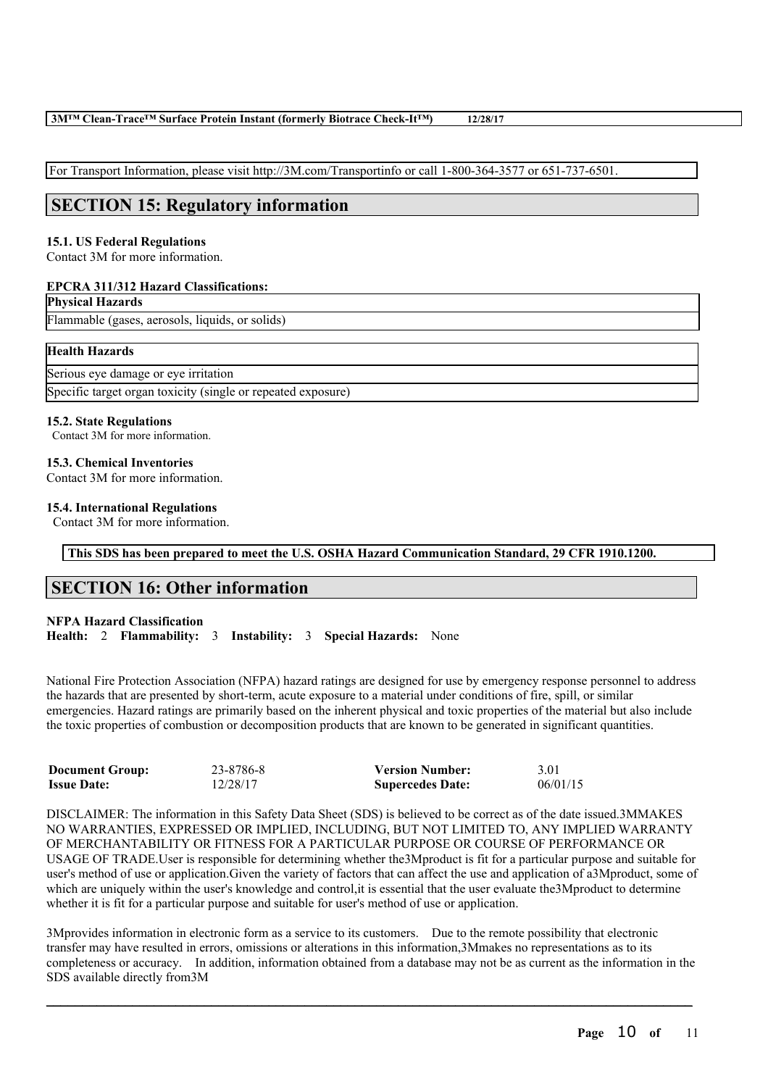For Transport Information, please visit http://3M.com/Transportinfo or call 1-800-364-3577 or 651-737-6501.

# **SECTION 15: Regulatory information**

# **15.1. US Federal Regulations**

Contact 3M for more information.

# **EPCRA 311/312 Hazard Classifications:**

# **Physical Hazards**

Flammable (gases, aerosols, liquids, or solids)

# **Health Hazards**

| Serious eye damage or eye irritation                         |  |
|--------------------------------------------------------------|--|
| Specific target organ toxicity (single or repeated exposure) |  |

# **15.2. State Regulations**

Contact 3M for more information.

# **15.3. Chemical Inventories**

Contact 3M for more information.

# **15.4. International Regulations**

Contact 3M for more information.

**This SDS has been prepared to meet the U.S. OSHA Hazard Communication Standard, 29 CFR 1910.1200.**

# **SECTION 16: Other information**

# **NFPA Hazard Classification**

**Health:** 2 **Flammability:** 3 **Instability:** 3 **Special Hazards:** None

National Fire Protection Association (NFPA) hazard ratings are designed for use by emergency response personnel to address the hazards that are presented by short-term, acute exposure to a material under conditions of fire, spill, or similar emergencies. Hazard ratings are primarily based on the inherent physical and toxic properties of the material but also include the toxic properties of combustion or decomposition products that are known to be generated in significant quantities.

| <b>Document Group:</b> | 23-8786-8 | <b>Version Number:</b>  | 3.01     |
|------------------------|-----------|-------------------------|----------|
| <b>Issue Date:</b>     | 12/28/17  | <b>Supercedes Date:</b> | 06/01/15 |

DISCLAIMER: The information in this Safety Data Sheet (SDS) is believed to be correct as of the date issued.3MMAKES NO WARRANTIES, EXPRESSED OR IMPLIED, INCLUDING, BUT NOT LIMITED TO, ANY IMPLIED WARRANTY OF MERCHANTABILITY OR FITNESS FOR A PARTICULAR PURPOSE OR COURSE OF PERFORMANCE OR USAGE OF TRADE.User is responsible for determining whether the3Mproduct is fit for a particular purpose and suitable for user's method of use or application.Given the variety of factors that can affect the use and application of a3Mproduct, some of which are uniquely within the user's knowledge and control, it is essential that the user evaluate the 3Mproduct to determine whether it is fit for a particular purpose and suitable for user's method of use or application.

3Mprovides information in electronic form as a service to its customers. Due to the remote possibility that electronic transfer may have resulted in errors, omissions or alterations in this information,3Mmakes no representations as to its completeness or accuracy. In addition, information obtained from a database may not be as current as the information in the SDS available directly from3M